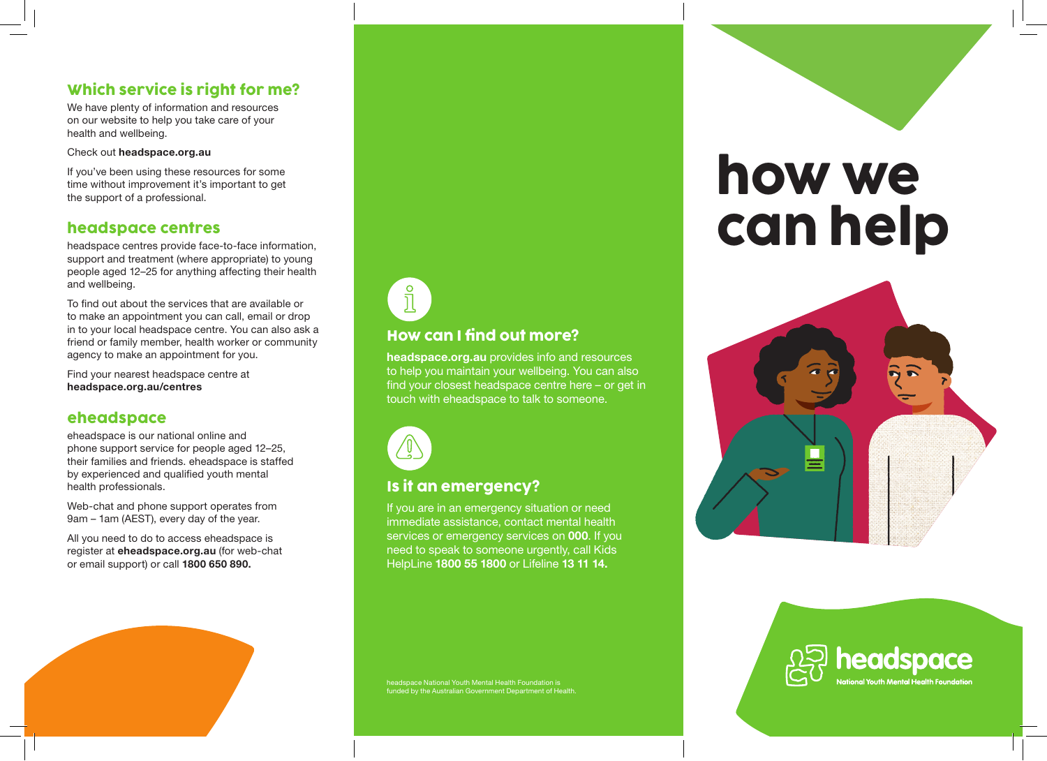# Which service is right for me?

We have plenty of information and resources on our website to help you take care of your health and wellbeing.

Check out headspace.org.au

If you've been using these resources for some time without improvement it's important to get the support of a professional.

#### headspace centres

headspace centres provide face-to-face information, support and treatment (where appropriate) to young people aged 12–25 for anything affecting their health and wellbeing.

To find out about the services that are available or to make an appointment you can call, email or drop in to your local headspace centre. You can also ask a friend or family member, health worker or community agency to make an appointment for you.

Find your nearest headspace centre at headspace.org.au/centres

#### eheadspace

eheadspace is our national online and phone support service for people aged 12–25, their families and friends. eheadspace is staffed by experienced and qualified youth mental health professionals.

Web-chat and phone support operates from 9am – 1am (AEST), every day of the year.

All you need to do to access eheadspace is register at eheadspace.org.au (for web-chat or email support) or call 1800 650 890.









Ispace National Youth Mental Health Foundation is funded by the Australian Government Department of Health

Is it an emergency?

How can I find out more?

headspace.org.au provides info and resources to help you maintain your wellbeing. You can also find your closest headspace centre here – or get in

touch with eheadspace to talk to someone.

If you are in an emergency situation or need immediate assistance, contact mental health services or emergency services on 000. If you need to speak to someone urgently, call Kids HelpLine 1800 55 1800 or Lifeline 13 11 14.